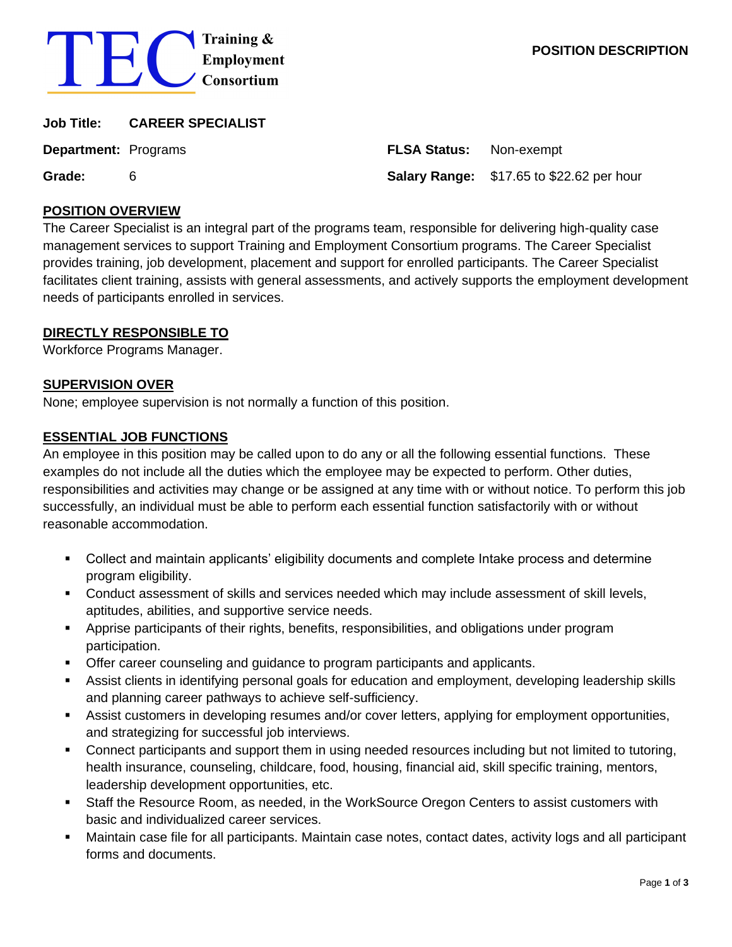

| Job Title:                  | <b>CAREER SPECIALIST</b> |                                |                                                  |
|-----------------------------|--------------------------|--------------------------------|--------------------------------------------------|
| <b>Department:</b> Programs |                          | <b>FLSA Status:</b> Non-exempt |                                                  |
| Grade:                      | 6                        |                                | <b>Salary Range:</b> \$17.65 to \$22.62 per hour |

#### **POSITION OVERVIEW**

The Career Specialist is an integral part of the programs team, responsible for delivering high-quality case management services to support Training and Employment Consortium programs. The Career Specialist provides training, job development, placement and support for enrolled participants. The Career Specialist facilitates client training, assists with general assessments, and actively supports the employment development needs of participants enrolled in services.

### **DIRECTLY RESPONSIBLE TO**

Workforce Programs Manager.

### **SUPERVISION OVER**

None; employee supervision is not normally a function of this position.

### **ESSENTIAL JOB FUNCTIONS**

An employee in this position may be called upon to do any or all the following essential functions. These examples do not include all the duties which the employee may be expected to perform. Other duties, responsibilities and activities may change or be assigned at any time with or without notice. To perform this job successfully, an individual must be able to perform each essential function satisfactorily with or without reasonable accommodation.

- Collect and maintain applicants' eligibility documents and complete Intake process and determine program eligibility.
- Conduct assessment of skills and services needed which may include assessment of skill levels, aptitudes, abilities, and supportive service needs.
- Apprise participants of their rights, benefits, responsibilities, and obligations under program participation.
- **Offer career counseling and guidance to program participants and applicants.**
- Assist clients in identifying personal goals for education and employment, developing leadership skills and planning career pathways to achieve self-sufficiency.
- **EXECT** Assist customers in developing resumes and/or cover letters, applying for employment opportunities, and strategizing for successful job interviews.
- Connect participants and support them in using needed resources including but not limited to tutoring, health insurance, counseling, childcare, food, housing, financial aid, skill specific training, mentors, leadership development opportunities, etc.
- Staff the Resource Room, as needed, in the WorkSource Oregon Centers to assist customers with basic and individualized career services.
- Maintain case file for all participants. Maintain case notes, contact dates, activity logs and all participant forms and documents.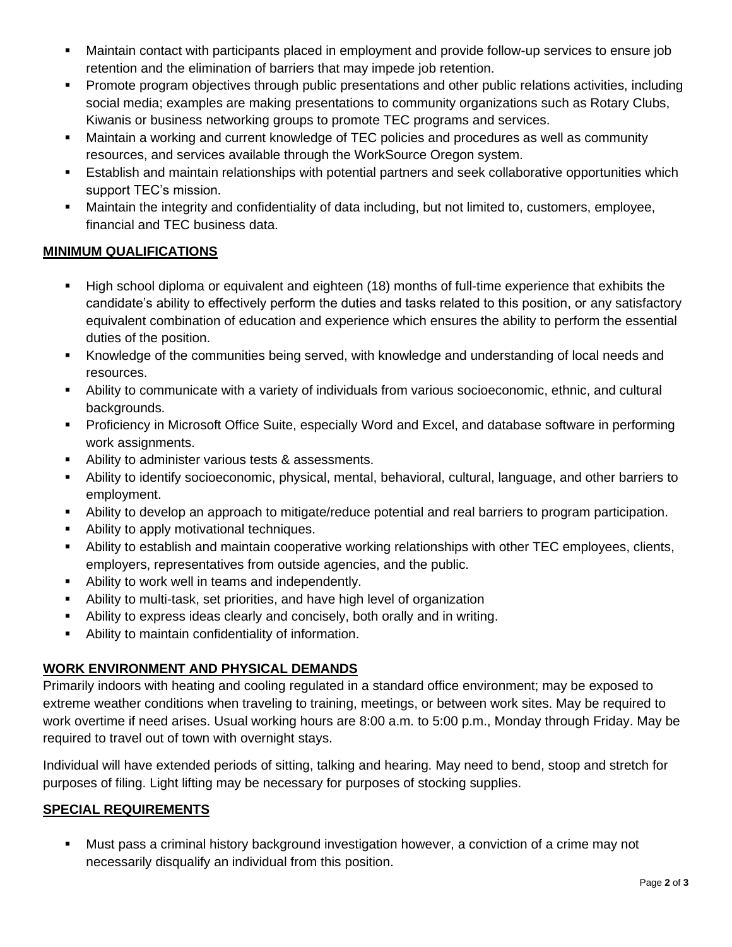- **■** Maintain contact with participants placed in employment and provide follow-up services to ensure job retention and the elimination of barriers that may impede job retention.
- **•** Promote program objectives through public presentations and other public relations activities, including social media; examples are making presentations to community organizations such as Rotary Clubs, Kiwanis or business networking groups to promote TEC programs and services.
- Maintain a working and current knowledge of TEC policies and procedures as well as community resources, and services available through the WorkSource Oregon system.
- **E** Establish and maintain relationships with potential partners and seek collaborative opportunities which support TEC's mission.
- Maintain the integrity and confidentiality of data including, but not limited to, customers, employee, financial and TEC business data.

# **MINIMUM QUALIFICATIONS**

- High school diploma or equivalent and eighteen (18) months of full-time experience that exhibits the candidate's ability to effectively perform the duties and tasks related to this position, or any satisfactory equivalent combination of education and experience which ensures the ability to perform the essential duties of the position.
- Knowledge of the communities being served, with knowledge and understanding of local needs and resources.
- Ability to communicate with a variety of individuals from various socioeconomic, ethnic, and cultural backgrounds.
- Proficiency in Microsoft Office Suite, especially Word and Excel, and database software in performing work assignments.
- Ability to administer various tests & assessments.
- Ability to identify socioeconomic, physical, mental, behavioral, cultural, language, and other barriers to employment.
- Ability to develop an approach to mitigate/reduce potential and real barriers to program participation.
- Ability to apply motivational techniques.
- Ability to establish and maintain cooperative working relationships with other TEC employees, clients, employers, representatives from outside agencies, and the public.
- Ability to work well in teams and independently.
- Ability to multi-task, set priorities, and have high level of organization
- Ability to express ideas clearly and concisely, both orally and in writing.
- Ability to maintain confidentiality of information.

# **WORK ENVIRONMENT AND PHYSICAL DEMANDS**

Primarily indoors with heating and cooling regulated in a standard office environment; may be exposed to extreme weather conditions when traveling to training, meetings, or between work sites. May be required to work overtime if need arises. Usual working hours are 8:00 a.m. to 5:00 p.m., Monday through Friday. May be required to travel out of town with overnight stays.

Individual will have extended periods of sitting, talking and hearing. May need to bend, stoop and stretch for purposes of filing. Light lifting may be necessary for purposes of stocking supplies.

### **SPECIAL REQUIREMENTS**

■ Must pass a criminal history background investigation however, a conviction of a crime may not necessarily disqualify an individual from this position.